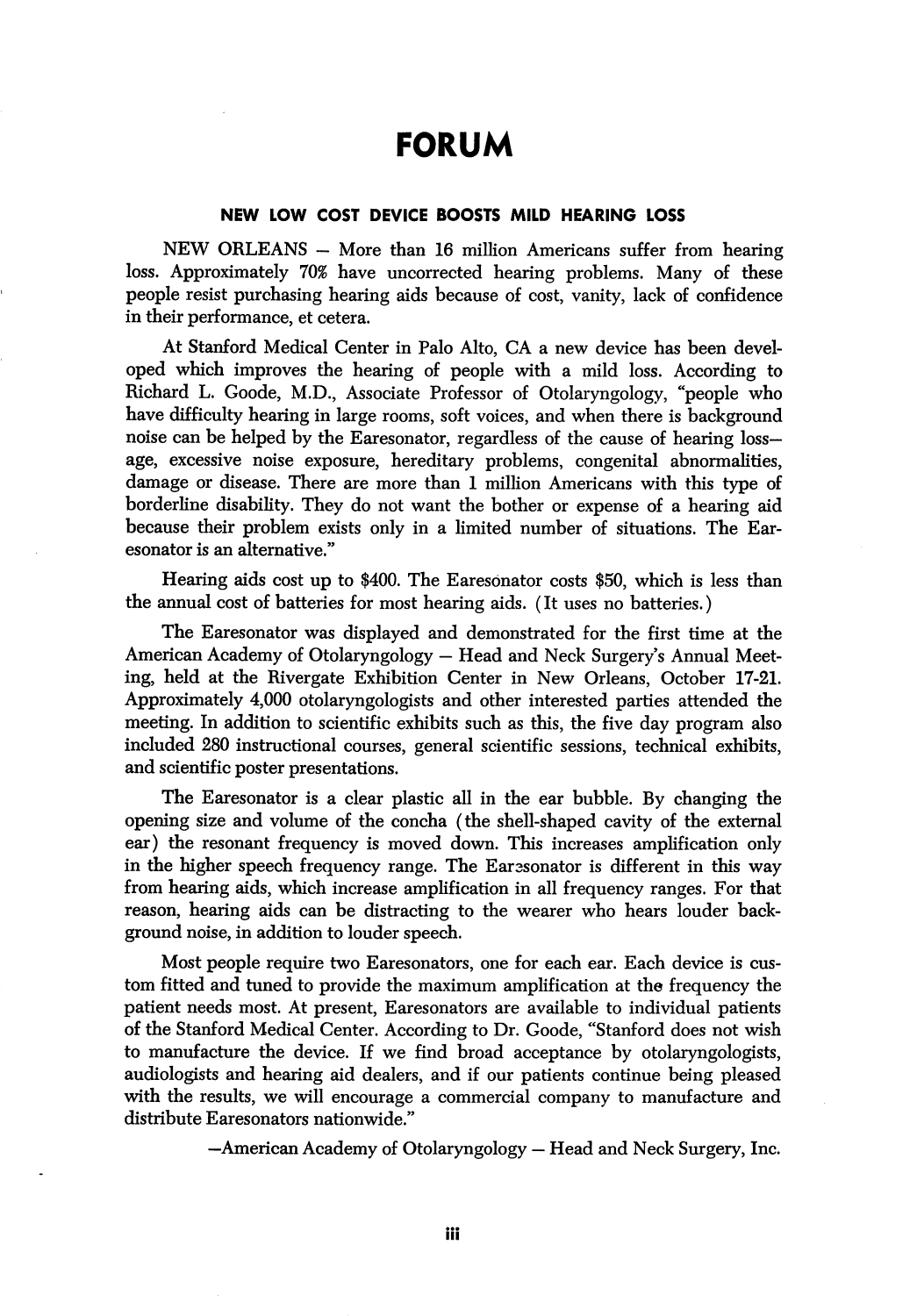## FORUM

## NEW LOW COST DEVICE BOOSTS MILD HEARING LOSS

 $NEW$  ORLEANS  $-$  More than 16 million Americans suffer from hearing loss. Approximately 70% have uncorrected hearing problems. Many of these people resist purchasing hearing aids because of cost, vanity, lack of confidence in their performance, et cetera.

At Stanford Medical Center in Palo Alto, CA a new device has been devel oped which improves the hearing of people with a mild loss. According to Richard L. Goode, M.D., Associate Professor of Otolaryngology, "people who have difficulty hearing in large rooms, soft voices, and when there is background noise can be helped by the Earesonator, regardless of the cause of hearing lossage, excessive noise exposure, hereditary problems, congenital abnormalities, damage or disease. There are more than 1 million Americans with this type of borderline disability. They do not want the bother or expense of a hearing aid because their problem exists only in a limited number of situations. The Ear esonator is an alternative."

Hearing aids cost up to \$400. The Earesonator costs \$50, which is less than the annual cost of batteries for most hearing aids. (It uses no batteries.)

The Earesonator was displayed and demonstrated for the first time at the American Academy of Otolaryngology — Head and Neck Surgery's Annual Meet ing, held at the Rivergate Exhibition Center in New Orleans, October 17-21. Approximately 4,000 otolaryngologists and other interested parties attended the meeting. In addition to scientific exhibits such as this, the five day program also included 280 instructional courses, general scientific sessions, technical exhibits, and scientific poster presentations.

The Earesonator is a clear plastic all in the ear bubble. By changing the opening size and volume of the concha (the shell-shaped cavity of the external ear) the resonant frequency is moved down. This increases amplification only in the higher speech frequency range. The Earesonator is different in this way from hearing aids, which increase amplification in all frequency ranges. For that reason, hearing aids can be distracting to the wearer who hears louder back ground noise, in addition to louder speech.

Most people require two Earesonators, one for each ear. Each device is cus tom fitted and tuned to provide the maximum amplification at the frequency the patient needs most. At present, Earesonators are available to individual patients of the Stanford Medical Center. According to Dr. Goode, "Stanford does not wish to manufacture the device. If we find broad acceptance by otolaryngologists, audiologists and hearing aid dealers, and if our patients continue being pleased with the results, we will encourage a commercial company to manufacture and distribute Earesonators nationwide."

—American Academy of Otolaryngology — Head and Neck Surgery, Inc.